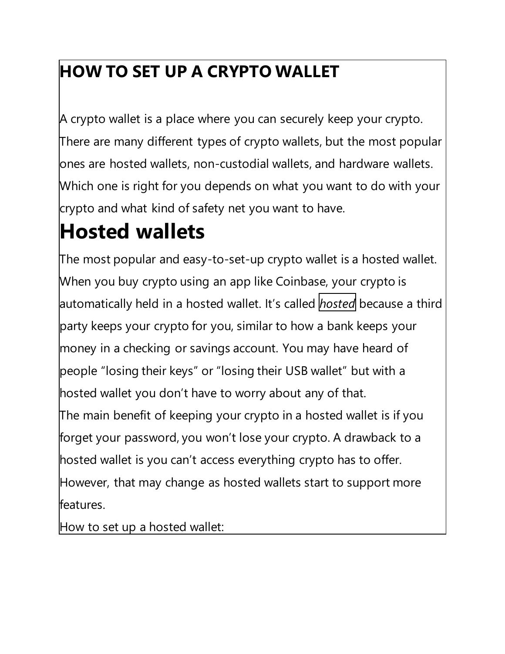## **HOW TO SET UP A CRYPTO WALLET**

A crypto wallet is a place where you can securely keep your crypto. There are many different types of crypto wallets, but the most popular ones are hosted wallets, non-custodial wallets, and hardware wallets. Which one is right for you depends on what you want to do with your crypto and what kind of safety net you want to have.

## **Hosted wallets**

The most popular and easy-to-set-up crypto wallet is a hosted wallet. When you buy crypto using an app like Coinbase, your crypto is automatically held in a hosted wallet. It's called *hosted* because a third party keeps your crypto for you, similar to how a bank keeps your money in a checking or savings account. You may have heard of people "losing their keys" or "losing their USB wallet" but with a hosted wallet you don't have to worry about any of that. The main benefit of keeping your crypto in a hosted wallet is if you forget your password, you won't lose your crypto. A drawback to a hosted wallet is you can't access everything crypto has to offer. However, that may change as hosted wallets start to support more features.

How to set up a hosted wallet: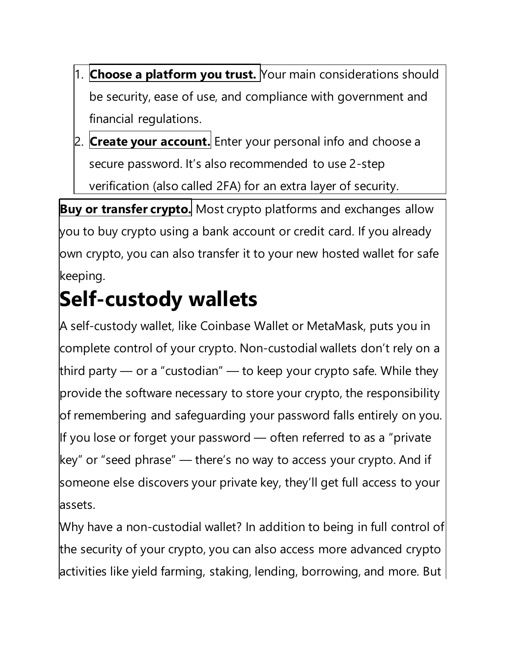- 1. **Choose a platform you trust.** Your main considerations should be security, ease of use, and compliance with government and financial regulations.
- 2. **Create your account.** Enter your personal info and choose a secure password. It's also recommended to use 2-step verification (also called 2FA) for an extra layer of security.

**Buy or transfer crypto.** Most crypto platforms and exchanges allow you to buy crypto using a bank account or credit card. If you already own crypto, you can also transfer it to your new hosted wallet for safe keeping.

## **Self-custody wallets**

A self-custody wallet, like Coinbase Wallet or MetaMask, puts you in complete control of your crypto. Non-custodial wallets don't rely on a third party — or a "custodian" — to keep your crypto safe. While they provide the software necessary to store your crypto, the responsibility of remembering and safeguarding your password falls entirely on you. If you lose or forget your password  $-$  often referred to as a "private key" or "seed phrase" — there's no way to access your crypto. And if someone else discovers your private key, they'll get full access to your assets.

Why have a non-custodial wallet? In addition to being in full control of the security of your crypto, you can also access more advanced crypto activities like yield farming, staking, lending, borrowing, and more. But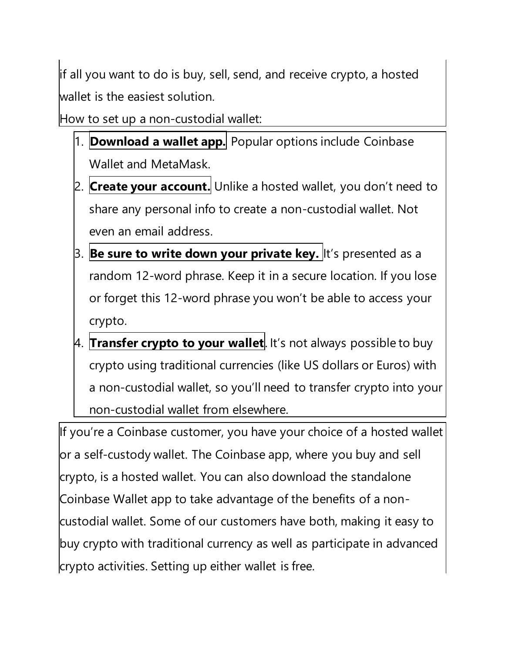if all you want to do is buy, sell, send, and receive crypto, a hosted wallet is the easiest solution.

How to set up a non-custodial wallet:

- 1. **Download a wallet app.** Popular options include Coinbase Wallet and MetaMask.
- 2. **Create your account.** Unlike a hosted wallet, you don't need to share any personal info to create a non-custodial wallet. Not even an email address.
- 3. **Be sure to write down your private key.** It's presented as a random 12-word phrase. Keep it in a secure location. If you lose or forget this 12-word phrase you won't be able to access your crypto.
- 4. **Transfer crypto to your wallet**. It's not always possible to buy crypto using traditional currencies (like US dollars or Euros) with a non-custodial wallet, so you'll need to transfer crypto into your non-custodial wallet from elsewhere.

If you're a Coinbase customer, you have your choice of a hosted wallet or a self-custody wallet. The Coinbase app, where you buy and sell crypto, is a hosted wallet. You can also download the standalone Coinbase Wallet app to take advantage of the benefits of a noncustodial wallet. Some of our customers have both, making it easy to buy crypto with traditional currency as well as participate in advanced crypto activities. Setting up either wallet is free.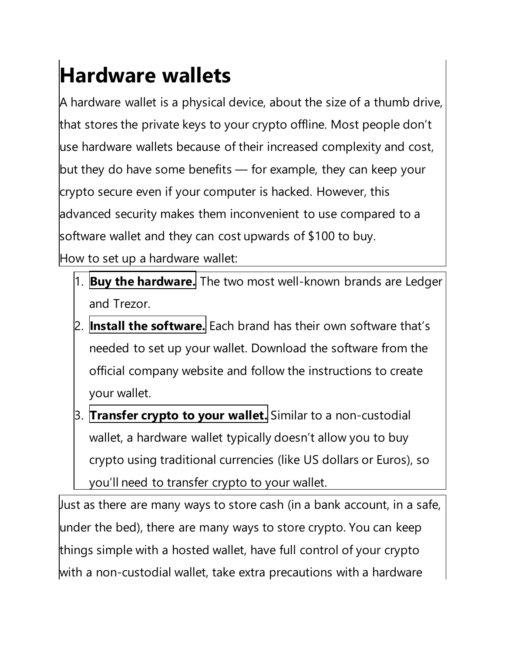## **Hardware wallets**

A hardware wallet is a physical device, about the size of a thumb drive, that stores the private keys to your crypto offline. Most people don't use hardware wallets because of their increased complexity and cost, but they do have some benefits — for example, they can keep your crypto secure even if your computer is hacked. However, this advanced security makes them inconvenient to use compared to a software wallet and they can cost upwards of \$100 to buy. How to set up a hardware wallet:

- 1. **Buy the hardware.** The two most well-known brands are Ledger and Trezor.
- 2. **Install the software.** Each brand has their own software that's needed to set up your wallet. Download the software from the official company website and follow the instructions to create your wallet.
- 3. **Transfer crypto to your wallet.** Similar to a non-custodial wallet, a hardware wallet typically doesn't allow you to buy crypto using traditional currencies (like US dollars or Euros), so you'll need to transfer crypto to your wallet.

Just as there are many ways to store cash (in a bank account, in a safe, under the bed), there are many ways to store crypto. You can keep things simple with a hosted wallet, have full control of your crypto with a non-custodial wallet, take extra precautions with a hardware